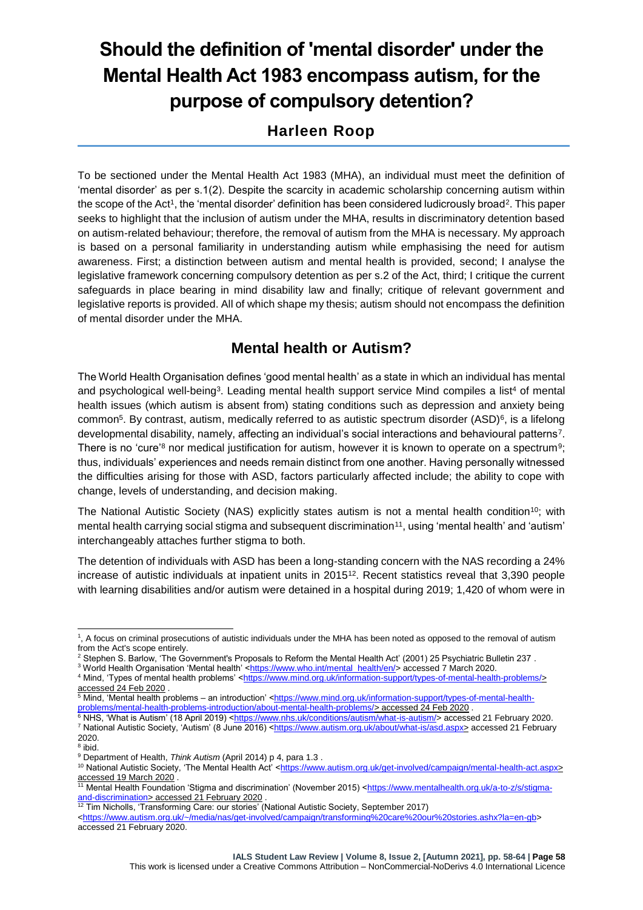# **Should the definition of 'mental disorder' under the Mental Health Act 1983 encompass autism, for the purpose of compulsory detention?**

# **Harleen Roop**

To be sectioned under the Mental Health Act 1983 (MHA), an individual must meet the definition of 'mental disorder' as per s.1(2). Despite the scarcity in academic scholarship concerning autism within the scope of the Act<sup>1</sup>, the 'mental disorder' definition has been considered ludicrously broad<sup>2</sup>. This paper seeks to highlight that the inclusion of autism under the MHA, results in discriminatory detention based on autism-related behaviour; therefore, the removal of autism from the MHA is necessary. My approach is based on a personal familiarity in understanding autism while emphasising the need for autism awareness. First; a distinction between autism and mental health is provided, second; I analyse the legislative framework concerning compulsory detention as per s.2 of the Act, third; I critique the current safeguards in place bearing in mind disability law and finally; critique of relevant government and legislative reports is provided. All of which shape my thesis; autism should not encompass the definition of mental disorder under the MHA.

# **Mental health or Autism?**

The World Health Organisation defines 'good mental health' as a state in which an individual has mental and psychological well-being<sup>3</sup>. Leading mental health support service Mind compiles a list<sup>4</sup> of mental health issues (which autism is absent from) stating conditions such as depression and anxiety being common<sup>5</sup>. By contrast, autism, medically referred to as autistic spectrum disorder (ASD)<sup>6</sup>, is a lifelong developmental disability, namely, affecting an individual's social interactions and behavioural patterns<sup>7</sup>. There is no 'cure'<sup>8</sup> nor medical justification for autism, however it is known to operate on a spectrum<sup>9</sup>; thus, individuals' experiences and needs remain distinct from one another. Having personally witnessed the difficulties arising for those with ASD, factors particularly affected include; the ability to cope with change, levels of understanding, and decision making.

The National Autistic Society (NAS) explicitly states autism is not a mental health condition<sup>10</sup>; with mental health carrying social stigma and subsequent discrimination<sup>11</sup>, using 'mental health' and 'autism' interchangeably attaches further stigma to both.

The detention of individuals with ASD has been a long-standing concern with the NAS recording a 24% increase of autistic individuals at inpatient units in 2015<sup>12</sup>. Recent statistics reveal that 3,390 people with learning disabilities and/or autism were detained in a hospital during 2019; 1,420 of whom were in

-

<sup>1</sup> , A focus on criminal prosecutions of autistic individuals under the MHA has been noted as opposed to the removal of autism from the Act's scope entirely.

<sup>2</sup> Stephen S. Barlow, 'The Government's Proposals to Reform the Mental Health Act' (2001) 25 Psychiatric Bulletin 237 .

<sup>&</sup>lt;sup>3</sup> World Health Organisation 'Mental health' [<https://www.who.int/mental\\_health/en/>](https://www.who.int/mental_health/en/) accessed 7 March 2020. 4 Mind, 'Types of mental health problems' [<https://www.mind.org.uk/information-support/types-of-mental-health-problems/>](https://www.mind.org.uk/information-support/types-of-mental-health-problems/) accessed 24 Feb 2020 .

<sup>&</sup>lt;sup>5</sup> Mind, 'Mental health problems – an introduction' <<u>https://www.mind.org.uk/information-support/types-of-mental-health-</u> [problems/mental-health-problems-introduction/about-mental-health-problems/>](https://www.mind.org.uk/information-support/types-of-mental-health-problems/mental-health-problems-introduction/about-mental-health-problems/) accessed 24 Feb 2020 .

<sup>&</sup>lt;sup>6</sup> NHS, 'What is Autism' (18 April 2019) [<https://www.nhs.uk/conditions/autism/what-is-autism/>](https://www.nhs.uk/conditions/autism/what-is-autism/) accessed 21 February 2020. <sup>7</sup> National Autistic Society, 'Autism' (8 June 2016) [<https://www.autism.org.uk/about/what-is/asd.aspx>](https://www.autism.org.uk/about/what-is/asd.aspx) accessed 21 February 2020.

<sup>&</sup>lt;sup>8</sup> ibid.

<sup>9</sup> Department of Health, *Think Autism* (April 2014) p 4, para 1.3 .

<sup>10</sup> National Autistic Society, 'The Mental Health Act' [<https://www.autism.org.uk/get-involved/campaign/mental-health-act.aspx>](https://www.autism.org.uk/get-involved/campaign/mental-health-act.aspx) accessed 19 March 2020 .

<sup>&</sup>lt;sup>11</sup> Mental Health Foundation 'Stigma and discrimination' (November 2015) [<https://www.mentalhealth.org.uk/a-to-z/s/stigma](https://www.mentalhealth.org.uk/a-to-z/s/stigma-and-discrimination)[and-discrimination>](https://www.mentalhealth.org.uk/a-to-z/s/stigma-and-discrimination) accessed 21 February 2020<br><sup>12</sup> Tim Nicholle (Texas)

<sup>12</sup> Tim Nicholls, 'Transforming Care: our stories' (National Autistic Society, September 2017)

[<sup>&</sup>lt;https://www.autism.org.uk/~/media/nas/get-involved/campaign/transforming%20care%20our%20stories.ashx?la=en-gb>](https://www.autism.org.uk/~/media/nas/get-involved/campaign/transforming%20care%20our%20stories.ashx?la=en-gb) accessed 21 February 2020.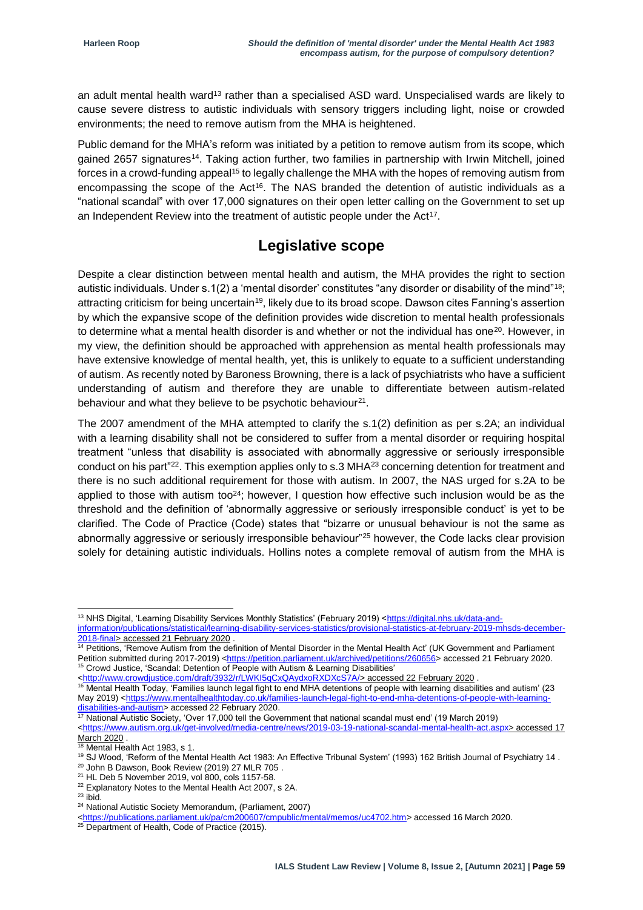an adult mental health ward<sup>13</sup> rather than a specialised ASD ward. Unspecialised wards are likely to cause severe distress to autistic individuals with sensory triggers including light, noise or crowded environments; the need to remove autism from the MHA is heightened.

Public demand for the MHA's reform was initiated by a petition to remove autism from its scope, which gained 2657 signatures<sup>14</sup>. Taking action further, two families in partnership with Irwin Mitchell, joined forces in a crowd-funding appeal<sup>15</sup> to legally challenge the MHA with the hopes of removing autism from encompassing the scope of the Act<sup>16</sup>. The NAS branded the detention of autistic individuals as a "national scandal" with over 17,000 signatures on their open letter calling on the Government to set up an Independent Review into the treatment of autistic people under the Act<sup>17</sup>.

### **Legislative scope**

Despite a clear distinction between mental health and autism, the MHA provides the right to section autistic individuals. Under s.1(2) a 'mental disorder' constitutes "any disorder or disability of the mind"<sup>18</sup>; attracting criticism for being uncertain<sup>19</sup>, likely due to its broad scope. Dawson cites Fanning's assertion by which the expansive scope of the definition provides wide discretion to mental health professionals to determine what a mental health disorder is and whether or not the individual has one<sup>20</sup>. However, in my view, the definition should be approached with apprehension as mental health professionals may have extensive knowledge of mental health, yet, this is unlikely to equate to a sufficient understanding of autism. As recently noted by Baroness Browning, there is a lack of psychiatrists who have a sufficient understanding of autism and therefore they are unable to differentiate between autism-related behaviour and what they believe to be psychotic behaviour $21$ .

The 2007 amendment of the MHA attempted to clarify the s.1(2) definition as per s.2A; an individual with a learning disability shall not be considered to suffer from a mental disorder or requiring hospital treatment "unless that disability is associated with abnormally aggressive or seriously irresponsible conduct on his part"<sup>22</sup>. This exemption applies only to s.3 MHA<sup>23</sup> concerning detention for treatment and there is no such additional requirement for those with autism. In 2007, the NAS urged for s.2A to be applied to those with autism too<sup>24</sup>; however, I question how effective such inclusion would be as the threshold and the definition of 'abnormally aggressive or seriously irresponsible conduct' is yet to be clarified. The Code of Practice (Code) states that "bizarre or unusual behaviour is not the same as abnormally aggressive or seriously irresponsible behaviour"<sup>25</sup> however, the Code lacks clear provision solely for detaining autistic individuals. Hollins notes a complete removal of autism from the MHA is

1

<sup>&</sup>lt;sup>13</sup> NHS Digital, 'Learning Disability Services Monthly Statistics' (February 2019) [<https://digital.nhs.uk/data-and-](https://digital.nhs.uk/data-and-information/publications/statistical/learning-disability-services-statistics/provisional-statistics-at-february-2019-mhsds-december-2018-final)

[information/publications/statistical/learning-disability-services-statistics/provisional-statistics-at-february-2019-mhsds-december-](https://digital.nhs.uk/data-and-information/publications/statistical/learning-disability-services-statistics/provisional-statistics-at-february-2019-mhsds-december-2018-final)[2018-final>](https://digital.nhs.uk/data-and-information/publications/statistical/learning-disability-services-statistics/provisional-statistics-at-february-2019-mhsds-december-2018-final) accessed 21 February 2020 .

<sup>&</sup>lt;sup>14</sup> Petitions, 'Remove Autism from the definition of Mental Disorder in the Mental Health Act' (UK Government and Parliament Petition submitted during 2017-2019) [<https://petition.parliament.uk/archived/petitions/260656>](https://petition.parliament.uk/archived/petitions/260656) accessed 21 February 2020. <sup>15</sup> Crowd Justice, 'Scandal: Detention of People with Autism & Learning Disabilities'

[<sup>&</sup>lt;http://www.crowdjustice.com/draft/3932/r/LWKI5qCxQAydxoRXDXcS7A/>](http://www.crowdjustice.com/draft/3932/r/LWKI5qCxQAydxoRXDXcS7A/) accessed 22 February 2020 .

<sup>16</sup> Mental Health Today, 'Families launch legal fight to end MHA detentions of people with learning disabilities and autism' (23 May 2019) [<https://www.mentalhealthtoday.co.uk/families-launch-legal-fight-to-end-mha-detentions-of-people-with-learning](https://www.mentalhealthtoday.co.uk/families-launch-legal-fight-to-end-mha-detentions-of-people-with-learning-disabilities-and-autism)[disabilities-and-autism>](https://www.mentalhealthtoday.co.uk/families-launch-legal-fight-to-end-mha-detentions-of-people-with-learning-disabilities-and-autism) accessed 22 February 2020.

<sup>&</sup>lt;sup>17</sup> National Autistic Society, 'Over 17,000 tell the Government that national scandal must end' (19 March 2019) [<https://www.autism.org.uk/get-involved/media-centre/news/2019-03-19-national-scandal-mental-health-act.aspx>](https://www.autism.org.uk/get-involved/media-centre/news/2019-03-19-national-scandal-mental-health-act.aspx) accessed 17 March 2020 .

<sup>18</sup> Mental Health Act 1983, s 1.

<sup>19</sup> SJ Wood, 'Reform of the Mental Health Act 1983: An Effective Tribunal System' (1993) 162 British Journal of Psychiatry 14 .

<sup>&</sup>lt;sup>20</sup> John B Dawson, Book Review (2019) 27 MLR 705.

<sup>21</sup> HL Deb 5 November 2019, vol 800, cols 1157-58.

<sup>&</sup>lt;sup>22</sup> Explanatory Notes to the Mental Health Act 2007, s 2A.

 $23$  ibid.

<sup>24</sup> National Autistic Society Memorandum, (Parliament, 2007)

[<sup>&</sup>lt;https://publications.parliament.uk/pa/cm200607/cmpublic/mental/memos/uc4702.htm>](https://publications.parliament.uk/pa/cm200607/cmpublic/mental/memos/uc4702.htm) accessed 16 March 2020.

<sup>&</sup>lt;sup>25</sup> Department of Health, Code of Practice (2015).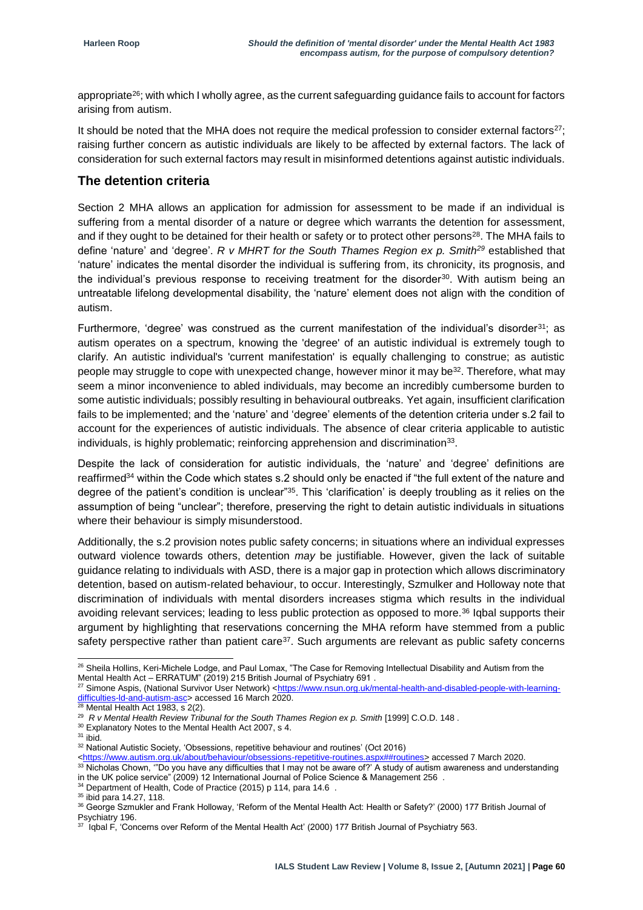appropriate<sup>26</sup>; with which I wholly agree, as the current safeguarding guidance fails to account for factors arising from autism.

It should be noted that the MHA does not require the medical profession to consider external factors<sup>27</sup>; raising further concern as autistic individuals are likely to be affected by external factors. The lack of consideration for such external factors may result in misinformed detentions against autistic individuals.

#### **The detention criteria**

Section 2 MHA allows an application for admission for assessment to be made if an individual is suffering from a mental disorder of a nature or degree which warrants the detention for assessment, and if they ought to be detained for their health or safety or to protect other persons<sup>28</sup>. The MHA fails to define 'nature' and 'degree'. *R v MHRT for the South Thames Region ex p. Smith<sup>29</sup>* established that 'nature' indicates the mental disorder the individual is suffering from, its chronicity, its prognosis, and the individual's previous response to receiving treatment for the disorder<sup>30</sup>. With autism being an untreatable lifelong developmental disability, the 'nature' element does not align with the condition of autism.

Furthermore, 'degree' was construed as the current manifestation of the individual's disorder<sup>31</sup>; as autism operates on a spectrum, knowing the 'degree' of an autistic individual is extremely tough to clarify. An autistic individual's 'current manifestation' is equally challenging to construe; as autistic people may struggle to cope with unexpected change, however minor it may be<sup>32</sup>. Therefore, what may seem a minor inconvenience to abled individuals, may become an incredibly cumbersome burden to some autistic individuals; possibly resulting in behavioural outbreaks. Yet again, insufficient clarification fails to be implemented; and the 'nature' and 'degree' elements of the detention criteria under s.2 fail to account for the experiences of autistic individuals. The absence of clear criteria applicable to autistic individuals, is highly problematic; reinforcing apprehension and discrimination<sup>33</sup>.

Despite the lack of consideration for autistic individuals, the 'nature' and 'degree' definitions are reaffirmed<sup>34</sup> within the Code which states s.2 should only be enacted if "the full extent of the nature and degree of the patient's condition is unclear"<sup>35</sup>. This 'clarification' is deeply troubling as it relies on the assumption of being "unclear"; therefore, preserving the right to detain autistic individuals in situations where their behaviour is simply misunderstood.

Additionally, the s.2 provision notes public safety concerns; in situations where an individual expresses outward violence towards others, detention *may* be justifiable. However, given the lack of suitable guidance relating to individuals with ASD, there is a major gap in protection which allows discriminatory detention, based on autism-related behaviour, to occur. Interestingly, Szmulker and Holloway note that discrimination of individuals with mental disorders increases stigma which results in the individual avoiding relevant services; leading to less public protection as opposed to more.<sup>36</sup> Iqbal supports their argument by highlighting that reservations concerning the MHA reform have stemmed from a public safety perspective rather than patient care<sup>37</sup>. Such arguments are relevant as public safety concerns

<sup>1</sup> <sup>26</sup> Sheila Hollins, Keri-Michele Lodge, and Paul Lomax, "The Case for Removing Intellectual Disability and Autism from the Mental Health Act – ERRATUM" (2019) 215 British Journal of Psychiatry 691 .

<sup>&</sup>lt;sup>27</sup> Simone Aspis, (National Survivor User Network) [<https://www.nsun.org.uk/mental-health-and-disabled-people-with-learning](https://www.nsun.org.uk/mental-health-and-disabled-people-with-learning-difficulties-ld-and-autism-asc)difficulties-Id-and-autism-asc> accessed 16 March 2020.

 $28$  Mental Health Act 1983, s 2(2).

<sup>29</sup> *R v Mental Health Review Tribunal for the South Thames Region ex p. Smith* [1999] C.O.D. 148 .

<sup>&</sup>lt;sup>30</sup> Explanatory Notes to the Mental Health Act 2007, s 4.

<sup>31</sup> ibid.

<sup>&</sup>lt;sup>32</sup> National Autistic Society, 'Obsessions, repetitive behaviour and routines' (Oct 2016)

[<sup>&</sup>lt;https://www.autism.org.uk/about/behaviour/obsessions-repetitive-routines.aspx##routines>](https://www.autism.org.uk/about/behaviour/obsessions-repetitive-routines.aspx##routines) accessed 7 March 2020.

 $^{\rm 33}$  Nicholas Chown, '"Do you have any difficulties that I may not be aware of?' A study of autism awareness and understanding in the UK police service" (2009) 12 International Journal of Police Science & Management 256 .

<sup>&</sup>lt;sup>34</sup> Department of Health, Code of Practice (2015) p 114, para 14.6 .

<sup>&</sup>lt;sup>35</sup> ibid para 14.27, 118.

<sup>36</sup> George Szmukler and Frank Holloway, 'Reform of the Mental Health Act: Health or Safety?' (2000) 177 British Journal of Psychiatry 196.

 $37$  Iqbal F, 'Concerns over Reform of the Mental Health Act' (2000) 177 British Journal of Psychiatry 563.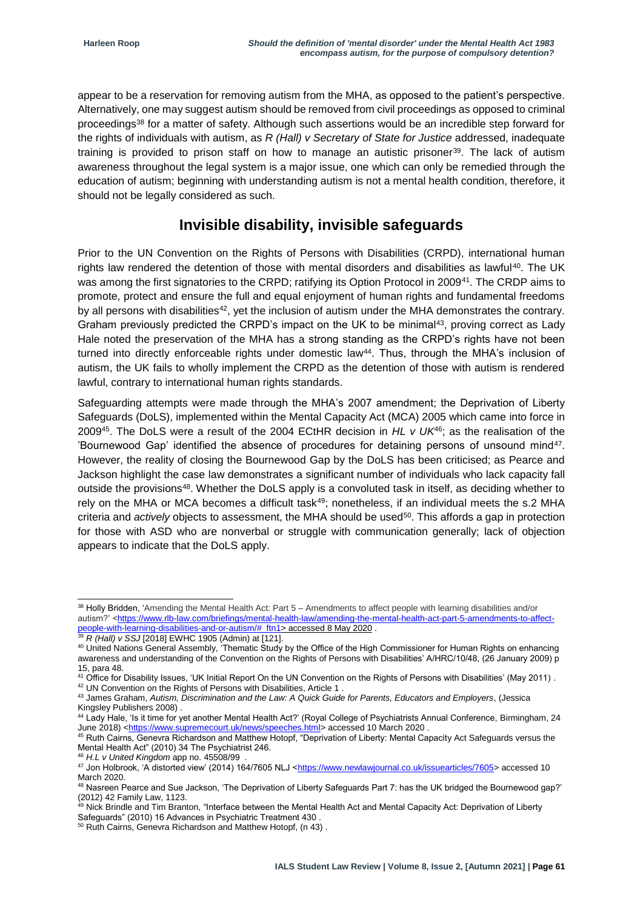appear to be a reservation for removing autism from the MHA, as opposed to the patient's perspective. Alternatively, one may suggest autism should be removed from civil proceedings as opposed to criminal proceedings<sup>38</sup> for a matter of safety. Although such assertions would be an incredible step forward for the rights of individuals with autism, as *R (Hall) v Secretary of State for Justice* addressed, inadequate training is provided to prison staff on how to manage an autistic prisoner<sup>39</sup>. The lack of autism awareness throughout the legal system is a major issue, one which can only be remedied through the education of autism; beginning with understanding autism is not a mental health condition, therefore, it should not be legally considered as such.

## **Invisible disability, invisible safeguards**

Prior to the UN Convention on the Rights of Persons with Disabilities (CRPD), international human rights law rendered the detention of those with mental disorders and disabilities as lawful<sup>40</sup>. The UK was among the first signatories to the CRPD; ratifying its Option Protocol in 2009<sup>41</sup>. The CRDP aims to promote, protect and ensure the full and equal enjoyment of human rights and fundamental freedoms by all persons with disabilities<sup>42</sup>, yet the inclusion of autism under the MHA demonstrates the contrary. Graham previously predicted the CRPD's impact on the UK to be minimal<sup>43</sup>, proving correct as Lady Hale noted the preservation of the MHA has a strong standing as the CRPD's rights have not been turned into directly enforceable rights under domestic law<sup>44</sup>. Thus, through the MHA's inclusion of autism, the UK fails to wholly implement the CRPD as the detention of those with autism is rendered lawful, contrary to international human rights standards.

Safeguarding attempts were made through the MHA's 2007 amendment; the Deprivation of Liberty Safeguards (DoLS), implemented within the Mental Capacity Act (MCA) 2005 which came into force in 2009<sup>45</sup>. The DoLS were a result of the 2004 ECtHR decision in *HL v UK*<sup>46</sup>; as the realisation of the 'Bournewood Gap' identified the absence of procedures for detaining persons of unsound mind<sup>47</sup> . However, the reality of closing the Bournewood Gap by the DoLS has been criticised; as Pearce and Jackson highlight the case law demonstrates a significant number of individuals who lack capacity fall outside the provisions<sup>48</sup>. Whether the DoLS apply is a convoluted task in itself, as deciding whether to rely on the MHA or MCA becomes a difficult task<sup>49</sup>; nonetheless, if an individual meets the s.2 MHA criteria and *actively* objects to assessment, the MHA should be used<sup>50</sup>. This affords a gap in protection for those with ASD who are nonverbal or struggle with communication generally; lack of objection appears to indicate that the DoLS apply.

1

<sup>&</sup>lt;sup>38</sup> Holly Bridden, 'Amending the Mental Health Act: Part 5 – Amendments to affect people with learning disabilities and/or autism?' [<https://www.rlb-law.com/briefings/mental-health-law/amending-the-mental-health-act-part-5-amendments-to-affect](https://www.rlb-law.com/briefings/mental-health-law/amending-the-mental-health-act-part-5-amendments-to-affect-people-with-learning-disabilities-and-or-autism/#_ftn1)[people-with-learning-disabilities-and-or-autism/#\\_ftn1>](https://www.rlb-law.com/briefings/mental-health-law/amending-the-mental-health-act-part-5-amendments-to-affect-people-with-learning-disabilities-and-or-autism/#_ftn1) accessed 8 May 2020 .

<sup>39</sup> *R (Hall) v SSJ* [2018] EWHC 1905 (Admin) at [121].

<sup>40</sup> United Nations General Assembly, 'Thematic Study by the Office of the High Commissioner for Human Rights on enhancing awareness and understanding of the Convention on the Rights of Persons with Disabilities' A/HRC/10/48, (26 January 2009) p 15, para 48.

<sup>&</sup>lt;sup>41</sup> Office for Disability Issues, 'UK Initial Report On the UN Convention on the Rights of Persons with Disabilities' (May 2011). <sup>42</sup> UN Convention on the Rights of Persons with Disabilities, Article 1

<sup>43</sup> James Graham, *Autism, Discrimination and the Law: A Quick Guide for Parents, Educators and Employers*, (Jessica Kingsley Publishers 2008) .

<sup>44</sup> Lady Hale, 'Is it time for yet another Mental Health Act?' (Royal College of Psychiatrists Annual Conference, Birmingham, 24 June 2018) [<https://www.supremecourt.uk/news/speeches.html>](https://www.supremecourt.uk/news/speeches.html) accessed 10 March 2020 .

<sup>45</sup> Ruth Cairns, Genevra Richardson and Matthew Hotopf, "Deprivation of Liberty: Mental Capacity Act Safeguards versus the Mental Health Act" (2010) 34 The Psychiatrist 246.

<sup>46</sup> *H.L v United Kingdom* app no. 45508/99 .

<sup>47</sup> Jon Holbrook, 'A distorted view' (2014) 164/7605 NLJ [<https://www.newlawjournal.co.uk/issuearticles/7605>](https://www.newlawjournal.co.uk/issuearticles/7605) accessed 10 March 2020.

<sup>&</sup>lt;sup>48</sup> Nasreen Pearce and Sue Jackson, 'The Deprivation of Liberty Safeguards Part 7: has the UK bridged the Bournewood gap?' (2012) 42 Family Law, 1123.

<sup>&</sup>lt;sup>49</sup> Nick Brindle and Tim Branton, "Interface between the Mental Health Act and Mental Capacity Act: Deprivation of Liberty Safeguards" (2010) 16 Advances in Psychiatric Treatment 430 .

<sup>50</sup> Ruth Cairns, Genevra Richardson and Matthew Hotopf, (n 43).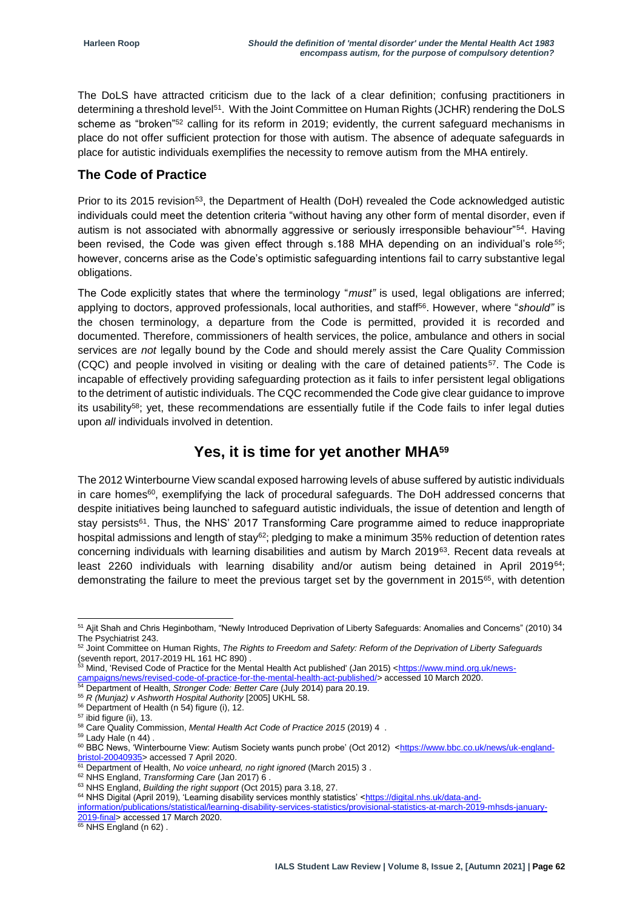The DoLS have attracted criticism due to the lack of a clear definition; confusing practitioners in determining a threshold level<sup>51</sup>. With the Joint Committee on Human Rights (JCHR) rendering the DoLS scheme as "broken"<sup>52</sup> calling for its reform in 2019; evidently, the current safeguard mechanisms in place do not offer sufficient protection for those with autism. The absence of adequate safeguards in place for autistic individuals exemplifies the necessity to remove autism from the MHA entirely.

#### **The Code of Practice**

Prior to its 2015 revision<sup>53</sup>, the Department of Health (DoH) revealed the Code acknowledged autistic individuals could meet the detention criteria "without having any other form of mental disorder, even if autism is not associated with abnormally aggressive or seriously irresponsible behaviour"<sup>54</sup>. Having been revised, the Code was given effect through s.188 MHA depending on an individual's role*<sup>55</sup>*; however, concerns arise as the Code's optimistic safeguarding intentions fail to carry substantive legal obligations.

The Code explicitly states that where the terminology "*must"* is used, legal obligations are inferred; applying to doctors, approved professionals, local authorities, and staff<sup>56</sup>. However, where "*should"* is the chosen terminology, a departure from the Code is permitted, provided it is recorded and documented. Therefore, commissioners of health services, the police, ambulance and others in social services are *not* legally bound by the Code and should merely assist the Care Quality Commission (CQC) and people involved in visiting or dealing with the care of detained patients<sup>57</sup>. The Code is incapable of effectively providing safeguarding protection as it fails to infer persistent legal obligations to the detriment of autistic individuals. The CQC recommended the Code give clear guidance to improve its usability<sup>58</sup>; yet, these recommendations are essentially futile if the Code fails to infer legal duties upon *all* individuals involved in detention.

## **Yes, it is time for yet another MHA<sup>59</sup>**

The 2012 Winterbourne View scandal exposed harrowing levels of abuse suffered by autistic individuals in care homes<sup>60</sup>, exemplifying the lack of procedural safeguards. The DoH addressed concerns that despite initiatives being launched to safeguard autistic individuals, the issue of detention and length of stay persists<sup>61</sup>. Thus, the NHS' 2017 Transforming Care programme aimed to reduce inappropriate hospital admissions and length of stay<sup>62</sup>; pledging to make a minimum 35% reduction of detention rates concerning individuals with learning disabilities and autism by March 2019<sup>63</sup>. Recent data reveals at least 2260 individuals with learning disability and/or autism being detained in April 2019<sup>64</sup>; demonstrating the failure to meet the previous target set by the government in 2015<sup>65</sup>, with detention

- 53 Mind, 'Revised Code of Practice for the Mental Health Act published' (Jan 2015) [<https://www.mind.org.uk/news](https://www.mind.org.uk/news-campaigns/news/revised-code-of-practice-for-the-mental-health-act-published/)ampaigns/news/revised-code-of-practice-for-the-mental-health-act-published/> accessed 10 March 2020.
- <sup>54</sup> Department of Health, *Stronger Code: Better Care* (July 2014) para 20.19.
- <sup>55</sup> *R (Munjaz) v Ashworth Hospital Authority* [2005] UKHL 58.
- <sup>56</sup> Department of Health (n 54) figure (i), 12.
- <sup>57</sup> ibid figure (ii), 13.

 $59$  Lady Hale (n 44).

 $\frac{2816 \text{ m/s}}{65}$  NHS England (n 62).

<sup>1</sup> <sup>51</sup> Ajit Shah and Chris Heginbotham, "Newly Introduced Deprivation of Liberty Safeguards: Anomalies and Concerns" (2010) 34 The Psychiatrist 243.

<sup>52</sup> Joint Committee on Human Rights, *The Rights to Freedom and Safety: Reform of the Deprivation of Liberty Safeguards* (seventh report, 2017-2019 HL 161 HC 890) .

<sup>58</sup> Care Quality Commission, *Mental Health Act Code of Practice 2015* (2019) 4 .

<sup>&</sup>lt;sup>60</sup> BBC News, 'Winterbourne View: Autism Society wants punch probe' (Oct 2012) [<https://www.bbc.co.uk/news/uk-england](https://www.bbc.co.uk/news/uk-england-bristol-20040935)[bristol-20040935>](https://www.bbc.co.uk/news/uk-england-bristol-20040935) accessed 7 April 2020.

<sup>61</sup> Department of Health, *No voice unheard, no right ignored* (March 2015) 3 .

<sup>62</sup> NHS England, *Transforming Care* (Jan 2017) 6 .

<sup>63</sup> NHS England, *Building the right support* (Oct 2015) para 3.18, 27.

<sup>&</sup>lt;sup>64</sup> NHS Digital (April 2019), 'Learning disability services monthly statistics' [<https://digital.nhs.uk/data-and-](https://digital.nhs.uk/data-and-information/publications/statistical/learning-disability-services-statistics/provisional-statistics-at-march-2019-mhsds-january-2019-final)

[information/publications/statistical/learning-disability-services-statistics/provisional-statistics-at-march-2019-mhsds-january-](https://digital.nhs.uk/data-and-information/publications/statistical/learning-disability-services-statistics/provisional-statistics-at-march-2019-mhsds-january-2019-final)[2019-final>](https://digital.nhs.uk/data-and-information/publications/statistical/learning-disability-services-statistics/provisional-statistics-at-march-2019-mhsds-january-2019-final) accessed 17 March 2020.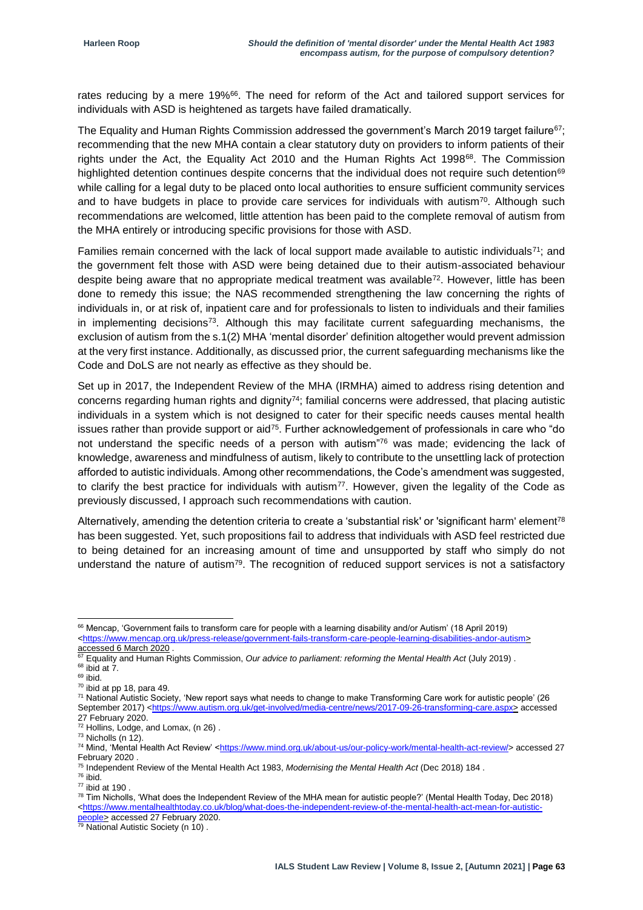rates reducing by a mere 19%<sup>66</sup>. The need for reform of the Act and tailored support services for individuals with ASD is heightened as targets have failed dramatically.

The Equality and Human Rights Commission addressed the government's March 2019 target failure<sup>67</sup>; recommending that the new MHA contain a clear statutory duty on providers to inform patients of their rights under the Act, the Equality Act 2010 and the Human Rights Act 1998<sup>68</sup>. The Commission highlighted detention continues despite concerns that the individual does not require such detention<sup>69</sup> while calling for a legal duty to be placed onto local authorities to ensure sufficient community services and to have budgets in place to provide care services for individuals with autism<sup>70</sup>. Although such recommendations are welcomed, little attention has been paid to the complete removal of autism from the MHA entirely or introducing specific provisions for those with ASD.

Families remain concerned with the lack of local support made available to autistic individuals<sup>71</sup>; and the government felt those with ASD were being detained due to their autism-associated behaviour despite being aware that no appropriate medical treatment was available<sup>72</sup>. However, little has been done to remedy this issue; the NAS recommended strengthening the law concerning the rights of individuals in, or at risk of, inpatient care and for professionals to listen to individuals and their families in implementing decisions<sup>73</sup>. Although this may facilitate current safeguarding mechanisms, the exclusion of autism from the s.1(2) MHA 'mental disorder' definition altogether would prevent admission at the very first instance. Additionally, as discussed prior, the current safeguarding mechanisms like the Code and DoLS are not nearly as effective as they should be.

Set up in 2017, the Independent Review of the MHA (IRMHA) aimed to address rising detention and concerns regarding human rights and dignity<sup>74</sup>; familial concerns were addressed, that placing autistic individuals in a system which is not designed to cater for their specific needs causes mental health issues rather than provide support or aid<sup>75</sup>. Further acknowledgement of professionals in care who "do not understand the specific needs of a person with autism"<sup>76</sup> was made; evidencing the lack of knowledge, awareness and mindfulness of autism, likely to contribute to the unsettling lack of protection afforded to autistic individuals. Among other recommendations, the Code's amendment was suggested, to clarify the best practice for individuals with autism<sup>77</sup>. However, given the legality of the Code as previously discussed, I approach such recommendations with caution.

Alternatively, amending the detention criteria to create a 'substantial risk' or 'significant harm' element<sup>78</sup> has been suggested. Yet, such propositions fail to address that individuals with ASD feel restricted due to being detained for an increasing amount of time and unsupported by staff who simply do not understand the nature of autism<sup>79</sup>. The recognition of reduced support services is not a satisfactory

1

<sup>66</sup> Mencap, 'Government fails to transform care for people with a learning disability and/or Autism' (18 April 2019) [<https://www.mencap.org.uk/press-release/government-fails-transform-care-people-learning-disabilities-andor-autism>](https://www.mencap.org.uk/press-release/government-fails-transform-care-people-learning-disabilities-andor-autism) accessed 6 March 2020 .

<sup>67</sup> Equality and Human Rights Commission, *Our advice to parliament: reforming the Mental Health Act* (July 2019) .  $68$  ibid at 7.

<sup>69</sup> ibid.

 $70$  ibid at pp 18, para 49.

<sup>71</sup> National Autistic Society, 'New report says what needs to change to make Transforming Care work for autistic people' (26 September 2017) [<https://www.autism.org.uk/get-involved/media-centre/news/2017-09-26-transforming-care.aspx>](https://www.autism.org.uk/get-involved/media-centre/news/2017-09-26-transforming-care.aspx) accessed 27 February 2020.

<sup>72</sup> Hollins, Lodge, and Lomax, (n 26) .

<sup>73</sup> Nicholls (n 12).

<sup>&</sup>lt;sup>74</sup> Mind, 'Mental Health Act Review' [<https://www.mind.org.uk/about-us/our-policy-work/mental-health-act-review/>](https://www.mind.org.uk/about-us/our-policy-work/mental-health-act-review/) accessed 27 February 2020

<sup>75</sup> Independent Review of the Mental Health Act 1983, *Modernising the Mental Health Act* (Dec 2018) 184 .

<sup>76</sup> ibid.

 $77$  ibid at 190

 $78$  Tim Nicholls, 'What does the Independent Review of the MHA mean for autistic people?' (Mental Health Today, Dec 2018) [<https://www.mentalhealthtoday.co.uk/blog/what-does-the-independent-review-of-the-mental-health-act-mean-for-autistic](https://www.mentalhealthtoday.co.uk/blog/what-does-the-independent-review-of-the-mental-health-act-mean-for-autistic-people)[people>](https://www.mentalhealthtoday.co.uk/blog/what-does-the-independent-review-of-the-mental-health-act-mean-for-autistic-people) accessed 27 February 2020.

<sup>&</sup>lt;sup>79</sup> National Autistic Society (n 10).